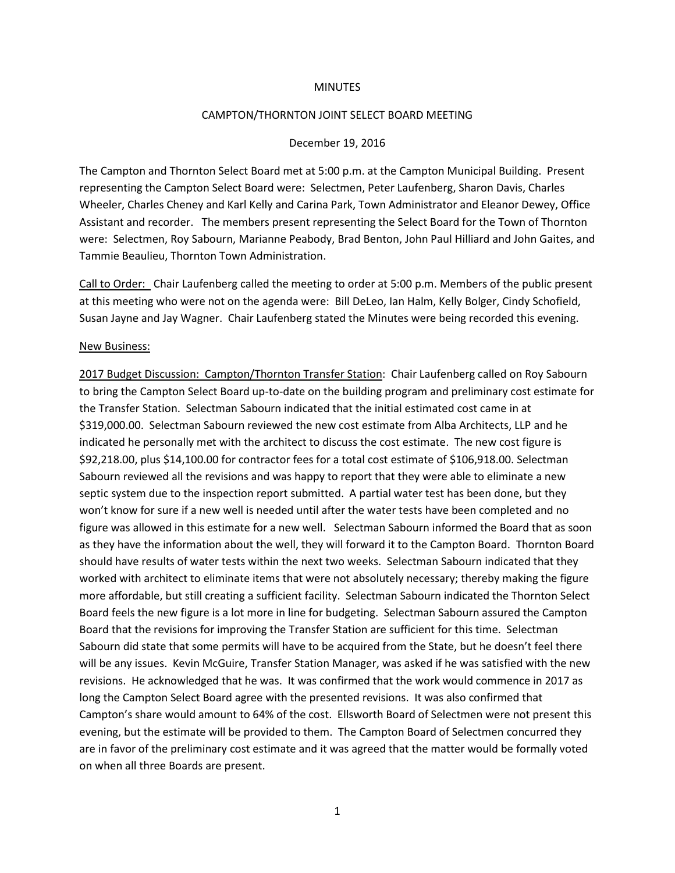### **MINUTES**

## CAMPTON/THORNTON JOINT SELECT BOARD MEETING

## December 19, 2016

The Campton and Thornton Select Board met at 5:00 p.m. at the Campton Municipal Building. Present representing the Campton Select Board were: Selectmen, Peter Laufenberg, Sharon Davis, Charles Wheeler, Charles Cheney and Karl Kelly and Carina Park, Town Administrator and Eleanor Dewey, Office Assistant and recorder. The members present representing the Select Board for the Town of Thornton were: Selectmen, Roy Sabourn, Marianne Peabody, Brad Benton, John Paul Hilliard and John Gaites, and Tammie Beaulieu, Thornton Town Administration.

Call to Order: Chair Laufenberg called the meeting to order at 5:00 p.m. Members of the public present at this meeting who were not on the agenda were: Bill DeLeo, Ian Halm, Kelly Bolger, Cindy Schofield, Susan Jayne and Jay Wagner. Chair Laufenberg stated the Minutes were being recorded this evening.

### New Business:

2017 Budget Discussion: Campton/Thornton Transfer Station: Chair Laufenberg called on Roy Sabourn to bring the Campton Select Board up-to-date on the building program and preliminary cost estimate for the Transfer Station. Selectman Sabourn indicated that the initial estimated cost came in at \$319,000.00. Selectman Sabourn reviewed the new cost estimate from Alba Architects, LLP and he indicated he personally met with the architect to discuss the cost estimate. The new cost figure is \$92,218.00, plus \$14,100.00 for contractor fees for a total cost estimate of \$106,918.00. Selectman Sabourn reviewed all the revisions and was happy to report that they were able to eliminate a new septic system due to the inspection report submitted. A partial water test has been done, but they won't know for sure if a new well is needed until after the water tests have been completed and no figure was allowed in this estimate for a new well. Selectman Sabourn informed the Board that as soon as they have the information about the well, they will forward it to the Campton Board. Thornton Board should have results of water tests within the next two weeks. Selectman Sabourn indicated that they worked with architect to eliminate items that were not absolutely necessary; thereby making the figure more affordable, but still creating a sufficient facility. Selectman Sabourn indicated the Thornton Select Board feels the new figure is a lot more in line for budgeting. Selectman Sabourn assured the Campton Board that the revisions for improving the Transfer Station are sufficient for this time. Selectman Sabourn did state that some permits will have to be acquired from the State, but he doesn't feel there will be any issues. Kevin McGuire, Transfer Station Manager, was asked if he was satisfied with the new revisions. He acknowledged that he was. It was confirmed that the work would commence in 2017 as long the Campton Select Board agree with the presented revisions. It was also confirmed that Campton's share would amount to 64% of the cost. Ellsworth Board of Selectmen were not present this evening, but the estimate will be provided to them. The Campton Board of Selectmen concurred they are in favor of the preliminary cost estimate and it was agreed that the matter would be formally voted on when all three Boards are present.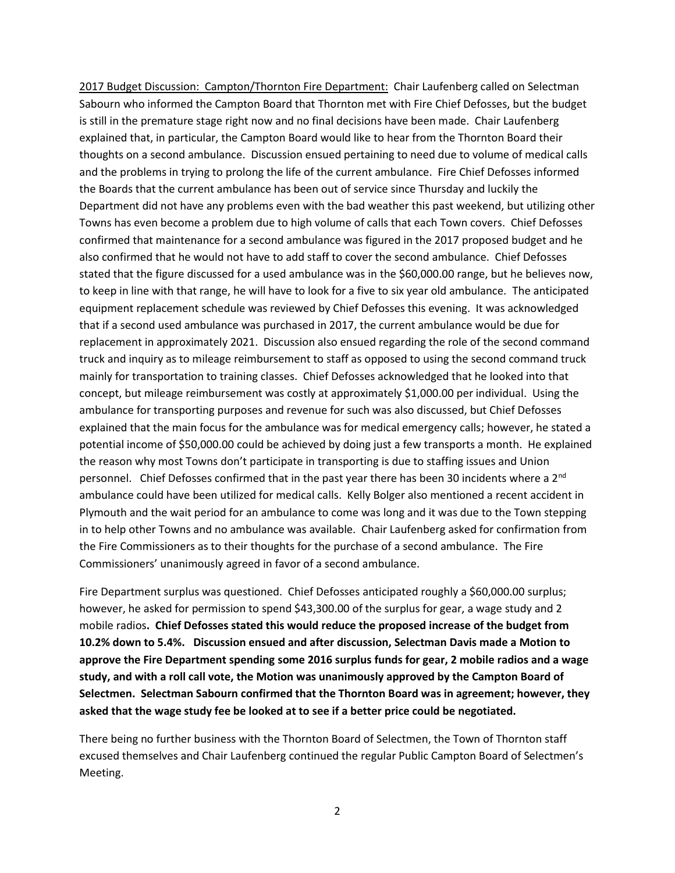2017 Budget Discussion: Campton/Thornton Fire Department: Chair Laufenberg called on Selectman Sabourn who informed the Campton Board that Thornton met with Fire Chief Defosses, but the budget is still in the premature stage right now and no final decisions have been made. Chair Laufenberg explained that, in particular, the Campton Board would like to hear from the Thornton Board their thoughts on a second ambulance. Discussion ensued pertaining to need due to volume of medical calls and the problems in trying to prolong the life of the current ambulance. Fire Chief Defosses informed the Boards that the current ambulance has been out of service since Thursday and luckily the Department did not have any problems even with the bad weather this past weekend, but utilizing other Towns has even become a problem due to high volume of calls that each Town covers. Chief Defosses confirmed that maintenance for a second ambulance was figured in the 2017 proposed budget and he also confirmed that he would not have to add staff to cover the second ambulance. Chief Defosses stated that the figure discussed for a used ambulance was in the \$60,000.00 range, but he believes now, to keep in line with that range, he will have to look for a five to six year old ambulance. The anticipated equipment replacement schedule was reviewed by Chief Defosses this evening. It was acknowledged that if a second used ambulance was purchased in 2017, the current ambulance would be due for replacement in approximately 2021. Discussion also ensued regarding the role of the second command truck and inquiry as to mileage reimbursement to staff as opposed to using the second command truck mainly for transportation to training classes. Chief Defosses acknowledged that he looked into that concept, but mileage reimbursement was costly at approximately \$1,000.00 per individual. Using the ambulance for transporting purposes and revenue for such was also discussed, but Chief Defosses explained that the main focus for the ambulance was for medical emergency calls; however, he stated a potential income of \$50,000.00 could be achieved by doing just a few transports a month. He explained the reason why most Towns don't participate in transporting is due to staffing issues and Union personnel. Chief Defosses confirmed that in the past year there has been 30 incidents where a 2<sup>nd</sup> ambulance could have been utilized for medical calls. Kelly Bolger also mentioned a recent accident in Plymouth and the wait period for an ambulance to come was long and it was due to the Town stepping in to help other Towns and no ambulance was available. Chair Laufenberg asked for confirmation from the Fire Commissioners as to their thoughts for the purchase of a second ambulance. The Fire Commissioners' unanimously agreed in favor of a second ambulance.

Fire Department surplus was questioned. Chief Defosses anticipated roughly a \$60,000.00 surplus; however, he asked for permission to spend \$43,300.00 of the surplus for gear, a wage study and 2 mobile radios**. Chief Defosses stated this would reduce the proposed increase of the budget from 10.2% down to 5.4%. Discussion ensued and after discussion, Selectman Davis made a Motion to approve the Fire Department spending some 2016 surplus funds for gear, 2 mobile radios and a wage study, and with a roll call vote, the Motion was unanimously approved by the Campton Board of Selectmen. Selectman Sabourn confirmed that the Thornton Board was in agreement; however, they asked that the wage study fee be looked at to see if a better price could be negotiated.**

There being no further business with the Thornton Board of Selectmen, the Town of Thornton staff excused themselves and Chair Laufenberg continued the regular Public Campton Board of Selectmen's Meeting.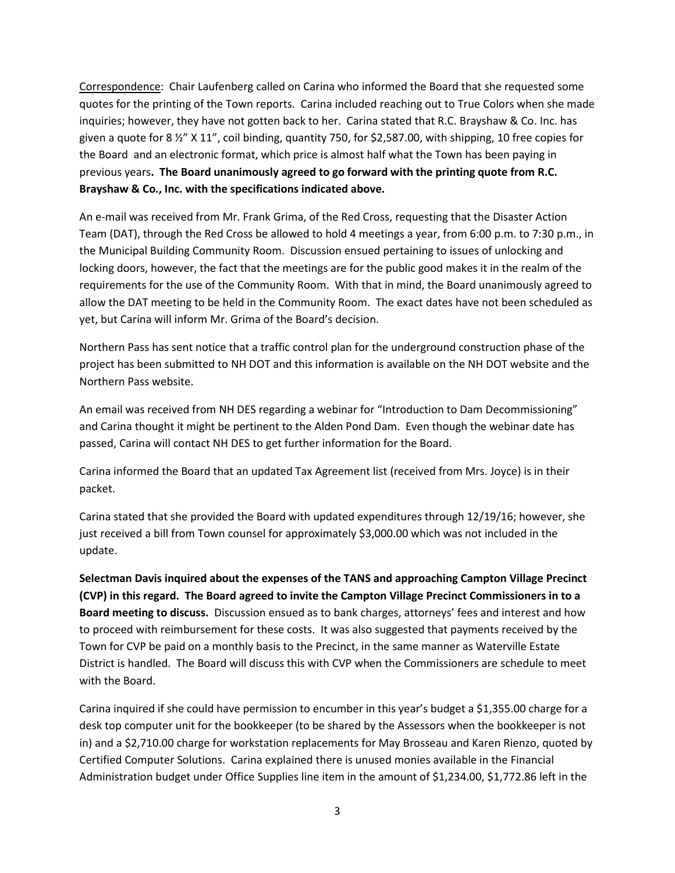Correspondence: Chair Laufenberg called on Carina who informed the Board that she requested some quotes for the printing of the Town reports. Carina included reaching out to True Colors when she made inquiries; however, they have not gotten back to her. Carina stated that R.C. Brayshaw & Co. Inc. has given a quote for 8 ½" X 11", coil binding, quantity 750, for \$2,587.00, with shipping, 10 free copies for the Board and an electronic format, which price is almost half what the Town has been paying in previous years**. The Board unanimously agreed to go forward with the printing quote from R.C. Brayshaw & Co., Inc. with the specifications indicated above.** 

An e-mail was received from Mr. Frank Grima, of the Red Cross, requesting that the Disaster Action Team (DAT), through the Red Cross be allowed to hold 4 meetings a year, from 6:00 p.m. to 7:30 p.m., in the Municipal Building Community Room. Discussion ensued pertaining to issues of unlocking and locking doors, however, the fact that the meetings are for the public good makes it in the realm of the requirements for the use of the Community Room. With that in mind, the Board unanimously agreed to allow the DAT meeting to be held in the Community Room. The exact dates have not been scheduled as yet, but Carina will inform Mr. Grima of the Board's decision.

Northern Pass has sent notice that a traffic control plan for the underground construction phase of the project has been submitted to NH DOT and this information is available on the NH DOT website and the Northern Pass website.

An email was received from NH DES regarding a webinar for "Introduction to Dam Decommissioning" and Carina thought it might be pertinent to the Alden Pond Dam. Even though the webinar date has passed, Carina will contact NH DES to get further information for the Board.

Carina informed the Board that an updated Tax Agreement list (received from Mrs. Joyce) is in their packet.

Carina stated that she provided the Board with updated expenditures through 12/19/16; however, she just received a bill from Town counsel for approximately \$3,000.00 which was not included in the update.

**Selectman Davis inquired about the expenses of the TANS and approaching Campton Village Precinct (CVP) in this regard. The Board agreed to invite the Campton Village Precinct Commissioners in to a Board meeting to discuss.** Discussion ensued as to bank charges, attorneys' fees and interest and how to proceed with reimbursement for these costs. It was also suggested that payments received by the Town for CVP be paid on a monthly basis to the Precinct, in the same manner as Waterville Estate District is handled. The Board will discuss this with CVP when the Commissioners are schedule to meet with the Board.

Carina inquired if she could have permission to encumber in this year's budget a \$1,355.00 charge for a desk top computer unit for the bookkeeper (to be shared by the Assessors when the bookkeeper is not in) and a \$2,710.00 charge for workstation replacements for May Brosseau and Karen Rienzo, quoted by Certified Computer Solutions. Carina explained there is unused monies available in the Financial Administration budget under Office Supplies line item in the amount of \$1,234.00, \$1,772.86 left in the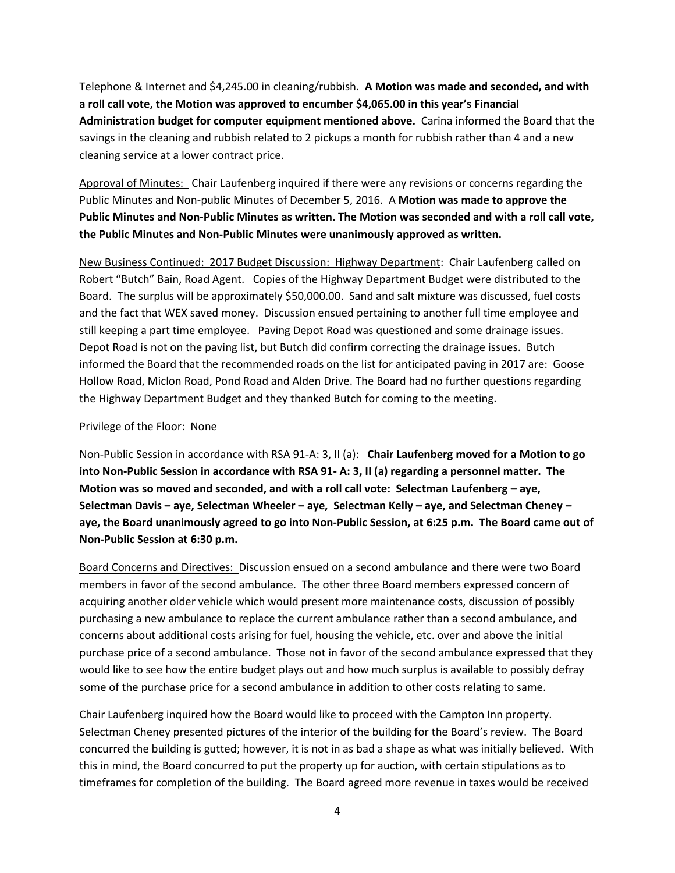Telephone & Internet and \$4,245.00 in cleaning/rubbish. **A Motion was made and seconded, and with a roll call vote, the Motion was approved to encumber \$4,065.00 in this year's Financial Administration budget for computer equipment mentioned above.** Carina informed the Board that the savings in the cleaning and rubbish related to 2 pickups a month for rubbish rather than 4 and a new cleaning service at a lower contract price.

Approval of Minutes: Chair Laufenberg inquired if there were any revisions or concerns regarding the Public Minutes and Non-public Minutes of December 5, 2016. A **Motion was made to approve the Public Minutes and Non-Public Minutes as written. The Motion was seconded and with a roll call vote, the Public Minutes and Non-Public Minutes were unanimously approved as written.**

New Business Continued: 2017 Budget Discussion: Highway Department: Chair Laufenberg called on Robert "Butch" Bain, Road Agent. Copies of the Highway Department Budget were distributed to the Board. The surplus will be approximately \$50,000.00. Sand and salt mixture was discussed, fuel costs and the fact that WEX saved money. Discussion ensued pertaining to another full time employee and still keeping a part time employee. Paving Depot Road was questioned and some drainage issues. Depot Road is not on the paving list, but Butch did confirm correcting the drainage issues. Butch informed the Board that the recommended roads on the list for anticipated paving in 2017 are: Goose Hollow Road, Miclon Road, Pond Road and Alden Drive. The Board had no further questions regarding the Highway Department Budget and they thanked Butch for coming to the meeting.

# Privilege of the Floor: None

Non-Public Session in accordance with RSA 91-A: 3, II (a): **Chair Laufenberg moved for a Motion to go into Non-Public Session in accordance with RSA 91- A: 3, II (a) regarding a personnel matter. The Motion was so moved and seconded, and with a roll call vote: Selectman Laufenberg – aye, Selectman Davis – aye, Selectman Wheeler – aye, Selectman Kelly – aye, and Selectman Cheney – aye, the Board unanimously agreed to go into Non-Public Session, at 6:25 p.m. The Board came out of Non-Public Session at 6:30 p.m.**

Board Concerns and Directives: Discussion ensued on a second ambulance and there were two Board members in favor of the second ambulance. The other three Board members expressed concern of acquiring another older vehicle which would present more maintenance costs, discussion of possibly purchasing a new ambulance to replace the current ambulance rather than a second ambulance, and concerns about additional costs arising for fuel, housing the vehicle, etc. over and above the initial purchase price of a second ambulance. Those not in favor of the second ambulance expressed that they would like to see how the entire budget plays out and how much surplus is available to possibly defray some of the purchase price for a second ambulance in addition to other costs relating to same.

Chair Laufenberg inquired how the Board would like to proceed with the Campton Inn property. Selectman Cheney presented pictures of the interior of the building for the Board's review. The Board concurred the building is gutted; however, it is not in as bad a shape as what was initially believed. With this in mind, the Board concurred to put the property up for auction, with certain stipulations as to timeframes for completion of the building. The Board agreed more revenue in taxes would be received